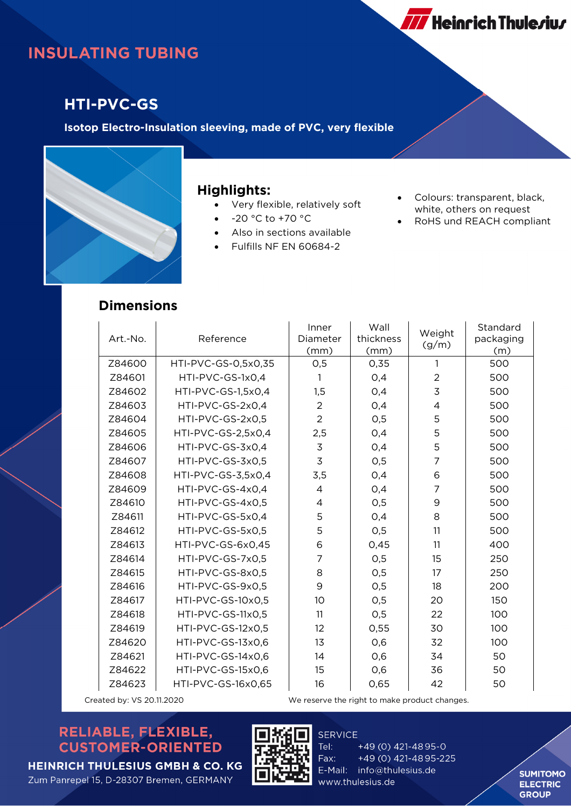# **INSULATING TUBING**

### **HTI-PVC-GS**

**Isotop Electro-Insulation sleeving, made of PVC, very flexible**



#### **Highlights:**

- Very flexible, relatively soft
- -20 °C to +70 °C
- Also in sections available
- Fulfills NF EN 60684-2
- Colours: transparent, black, white, others on request

**777** Heinrich Thule*r*iu*r* 

• RoHS und REACH compliant

#### **Dimensions**

| Art.-No. | Reference           | Inner<br>Diameter<br>(mm) | Wall<br>thickness<br>(mm) | Weight<br>(g/m) | Standard<br>packaging<br>(m) |
|----------|---------------------|---------------------------|---------------------------|-----------------|------------------------------|
| Z84600   | HTI-PVC-GS-0,5x0,35 | O, 5                      | 0,35                      | 1               | 500                          |
| Z84601   | HTI-PVC-GS-1x0,4    | 1                         | O,4                       | $\overline{2}$  | 500                          |
| Z84602   | HTI-PVC-GS-1,5x0,4  | 1,5                       | 0,4                       | 3               | 500                          |
| Z84603   | HTI-PVC-GS-2x0,4    | $\overline{2}$            | O,4                       | 4               | 500                          |
| Z84604   | HTI-PVC-GS-2x0,5    | $\overline{2}$            | O, 5                      | 5               | 500                          |
| Z84605   | HTI-PVC-GS-2,5x0,4  | 2,5                       | 0,4                       | 5               | 500                          |
| Z84606   | HTI-PVC-GS-3x0,4    | $\mathsf 3$               | 0,4                       | 5               | 500                          |
| Z84607   | HTI-PVC-GS-3x0,5    | 3                         | O,5                       | $\overline{7}$  | 500                          |
| Z84608   | HTI-PVC-GS-3,5x0,4  | 3,5                       | O,4                       | 6               | 500                          |
| Z84609   | HTI-PVC-GS-4x0,4    | 4                         | 0,4                       | $\overline{7}$  | 500                          |
| Z84610   | HTI-PVC-GS-4x0,5    | 4                         | O, 5                      | 9               | 500                          |
| Z84611   | HTI-PVC-GS-5x0,4    | 5                         | 0,4                       | 8               | 500                          |
| Z84612   | HTI-PVC-GS-5x0,5    | 5                         | O, 5                      | 11              | 500                          |
| Z84613   | HTI-PVC-GS-6x0,45   | 6                         | 0,45                      | 11              | 400                          |
| Z84614   | HTI-PVC-GS-7x0,5    | 7                         | O,5                       | 15              | 250                          |
| Z84615   | HTI-PVC-GS-8x0,5    | 8                         | O, 5                      | 17              | 250                          |
| Z84616   | HTI-PVC-GS-9x0,5    | 9                         | O, 5                      | 18              | 200                          |
| Z84617   | HTI-PVC-GS-10x0,5   | 10 <sup>°</sup>           | O, 5                      | 20              | 150                          |
| Z84618   | HTI-PVC-GS-11x0,5   | 11                        | O, 5                      | 22              | 100                          |
| Z84619   | HTI-PVC-GS-12x0,5   | 12                        | 0,55                      | 30              | 100                          |
| Z84620   | HTI-PVC-GS-13x0.6   | 13                        | 0,6                       | 32              | 100                          |
| Z84621   | HTI-PVC-GS-14x0,6   | 14                        | 0,6                       | 34              | 50                           |
| Z84622   | HTI-PVC-GS-15x0,6   | 15                        | 0,6                       | 36              | 50                           |
| Z84623   | HTI-PVC-GS-16x0,65  | 16                        | 0,65                      | 42              | 50                           |

Created by: VS 20.11.2020 We reserve the right to make product changes.

### RELIABLE, FLEXIBLE, **CUSTOMER-ORIENTED**





**SERVICE** Tel: +49 (0) 421-4895-0 Fax: +49 (0) 421-4895-225 E-Mail: info@thulesius.de www.thulesius.de

**SUMITOMO ELECTRIC GROUP**